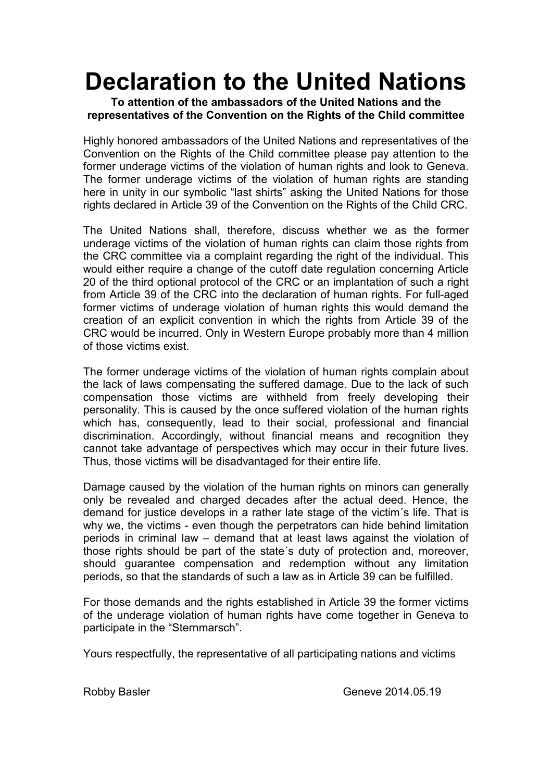## **Declaration to the United Nations**

## **To attention of the ambassadors of the United Nations and the representatives of the Convention on the Rights of the Child committee**

Highly honored ambassadors of the United Nations and representatives of the Convention on the Rights of the Child committee please pay attention to the former underage victims of the violation of human rights and look to Geneva. The former underage victims of the violation of human rights are standing here in unity in our symbolic "last shirts" asking the United Nations for those rights declared in Article 39 of the Convention on the Rights of the Child CRC.

The United Nations shall, therefore, discuss whether we as the former underage victims of the violation of human rights can claim those rights from the CRC committee via a complaint regarding the right of the individual. This would either require a change of the cutoff date regulation concerning Article 20 of the third optional protocol of the CRC or an implantation of such a right from Article 39 of the CRC into the declaration of human rights. For full-aged former victims of underage violation of human rights this would demand the creation of an explicit convention in which the rights from Article 39 of the CRC would be incurred. Only in Western Europe probably more than 4 million of those victims exist.

The former underage victims of the violation of human rights complain about the lack of laws compensating the suffered damage. Due to the lack of such compensation those victims are withheld from freely developing their personality. This is caused by the once suffered violation of the human rights which has, consequently, lead to their social, professional and financial discrimination. Accordingly, without financial means and recognition they cannot take advantage of perspectives which may occur in their future lives. Thus, those victims will be disadvantaged for their entire life.

Damage caused by the violation of the human rights on minors can generally only be revealed and charged decades after the actual deed. Hence, the demand for justice develops in a rather late stage of the victim´s life. That is why we, the victims - even though the perpetrators can hide behind limitation periods in criminal law – demand that at least laws against the violation of those rights should be part of the state´s duty of protection and, moreover, should guarantee compensation and redemption without any limitation periods, so that the standards of such a law as in Article 39 can be fulfilled.

For those demands and the rights established in Article 39 the former victims of the underage violation of human rights have come together in Geneva to participate in the "Sternmarsch".

Yours respectfully, the representative of all participating nations and victims